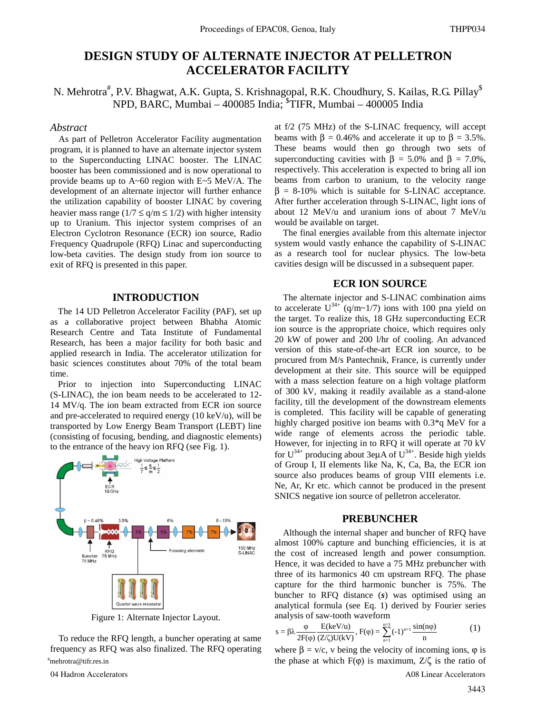# **DESIGN STUDY OF ALTERNATE INJECTOR AT PELLETRON ACCELERATOR FACILITY**

N. Mehrotra<sup>#</sup>, P.V. Bhagwat, A.K. Gupta, S. Krishnagopal, R.K. Choudhury, S. Kailas, R.G. Pillay<sup>\$</sup> NPD, BARC, Mumbai – 400085 India; \$ TIFR, Mumbai – 400005 India

### *Abstract*

As part of Pelletron Accelerator Facility augmentation program, it is planned to have an alternate injector system to the Superconducting LINAC booster. The LINAC booster has been commissioned and is now operational to provide beams up to A~60 region with E~5 MeV/A. The development of an alternate injector will further enhance the utilization capability of booster LINAC by covering heavier mass range ( $1/7 \le q/m \le 1/2$ ) with higher intensity up to Uranium. This injector system comprises of an Electron Cyclotron Resonance (ECR) ion source, Radio Frequency Quadrupole (RFQ) Linac and superconducting low-beta cavities. The design study from ion source to exit of RFQ is presented in this paper.

#### **INTRODUCTION**

The 14 UD Pelletron Accelerator Facility (PAF), set up as a collaborative project between Bhabha Atomic Research Centre and Tata Institute of Fundamental Research, has been a major facility for both basic and applied research in India. The accelerator utilization for basic sciences constitutes about 70% of the total beam time.

Prior to injection into Superconducting LINAC (S-LINAC), the ion beam needs to be accelerated to 12- 14 MV/q. The ion beam extracted from ECR ion source and pre-accelerated to required energy  $(10 \text{ keV/u})$ , will be transported by Low Energy Beam Transport (LEBT) line (consisting of focusing, bending, and diagnostic elements) to the entrance of the heavy ion RFQ (see Fig. 1).



Figure 1: Alternate Injector Layout.

To reduce the RFQ length, a buncher operating at same frequency as RFQ was also finalized. The RFQ operating mehrotra@tifr.res.in

at f/2 (75 MHz) of the S-LINAC frequency, will accept beams with  $\beta = 0.46\%$  and accelerate it up to  $\beta = 3.5\%$ . These beams would then go through two sets of superconducting cavities with  $\beta = 5.0\%$  and  $\beta = 7.0\%$ , respectively. This acceleration is expected to bring all ion beams from carbon to uranium, to the velocity range  $\beta = 8-10\%$  which is suitable for S-LINAC acceptance. After further acceleration through S-LINAC, light ions of about 12 MeV/u and uranium ions of about 7 MeV/u would be available on target.

The final energies available from this alternate injector system would vastly enhance the capability of S-LINAC as a research tool for nuclear physics. The low-beta cavities design will be discussed in a subsequent paper.

# **ECR ION SOURCE**

The alternate injector and S-LINAC combination aims to accelerate  $U^{34+}$  (q/m~1/7) ions with 100 pna yield on the target. To realize this, 18 GHz superconducting ECR ion source is the appropriate choice, which requires only 20 kW of power and 200 l/hr of cooling. An advanced version of this state-of-the-art ECR ion source, to be procured from M/s Pantechnik, France, is currently under development at their site. This source will be equipped with a mass selection feature on a high voltage platform of 300 kV, making it readily available as a stand-alone facility, till the development of the downstream elements is completed. This facility will be capable of generating highly charged positive ion beams with 0.3\*q MeV for a wide range of elements across the periodic table. However, for injecting in to RFQ it will operate at 70 kV for  $U^{34+}$  producing about 3euA of  $U^{34+}$ . Beside high yields of Group I, II elements like Na, K, Ca, Ba, the ECR ion source also produces beams of group VIII elements i.e. Ne, Ar, Kr etc. which cannot be produced in the present SNICS negative ion source of pelletron accelerator.

#### **PREBUNCHER**

Although the internal shaper and buncher of RFQ have almost 100% capture and bunching efficiencies, it is at the cost of increased length and power consumption. Hence, it was decided to have a 75 MHz prebuncher with three of its harmonics 40 cm upstream RFQ. The phase capture for the third harmonic buncher is 75%. The buncher to RFQ distance (*s*) was optimised using an analytical formula (see Eq. 1) derived by Fourier series analysis of saw-tooth waveform

$$
s = \beta \lambda \frac{\varphi}{2F(\varphi)} \frac{E(keV/u)}{(Z/\zeta)U(kV)}, F(\varphi) = \sum_{n=1}^{n=3} (-1)^{n+1} \frac{\sin(n\varphi)}{n}
$$
 (1)

where  $\beta = v/c$ , v being the velocity of incoming ions,  $\varphi$  is the phase at which  $F(\varphi)$  is maximum,  $Z/\zeta$  is the ratio of 04 Hadron Accelerators **A08 Linear Accelerators A08 Linear Accelerators A08 Linear Accelerators**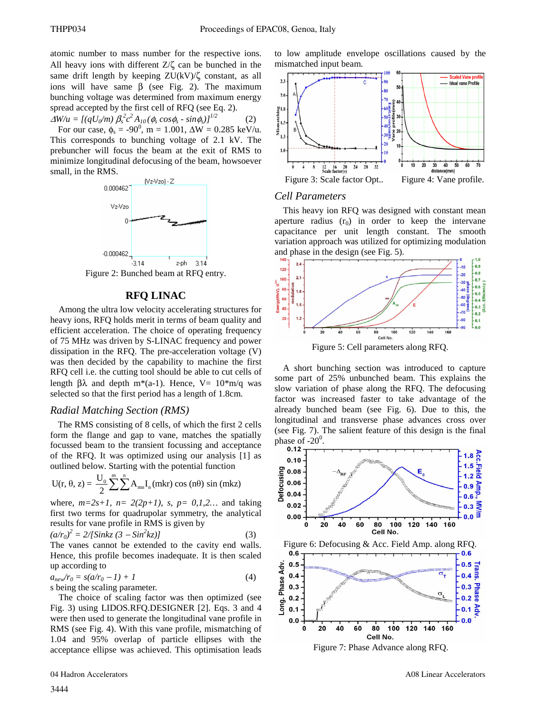atomic number to mass number for the respective ions. All heavy ions with different  $Z/\zeta$  can be bunched in the same drift length by keeping  $ZU(kV)/\zeta$  constant, as all ions will have same  $β$  (see Fig. 2). The maximum bunching voltage was determined from maximum energy spread accepted by the first cell of RFQ (see Eq. 2).

 $\Delta W/u = [(qU_0/m) \beta_s^2 c^2 A_{10} (\phi_s \cos \phi_s - \sin \phi_s)]^{1/2}$  (2)

For our case,  $\phi_s = -90^0$ , m = 1.001,  $\Delta W = 0.285$  keV/u. This corresponds to bunching voltage of 2.1 kV. The prebuncher will focus the beam at the exit of RMS to minimize longitudinal defocusing of the beam, howsoever small, in the RMS.



Figure 2: Bunched beam at RFQ entry.

# **RFQ LINAC**

Among the ultra low velocity accelerating structures for heavy ions, RFQ holds merit in terms of beam quality and efficient acceleration. The choice of operating frequency of 75 MHz was driven by S-LINAC frequency and power dissipation in the RFQ. The pre-acceleration voltage (V) was then decided by the capability to machine the first RFQ cell i.e. the cutting tool should be able to cut cells of length βλ and depth m<sup>\*</sup>(a-1). Hence, V=  $10<sup>*</sup>$ m/q was selected so that the first period has a length of 1.8cm.

#### *Radial Matching Section (RMS)*

The RMS consisting of 8 cells, of which the first 2 cells form the flange and gap to vane, matches the spatially focussed beam to the transient focussing and acceptance of the RFQ. It was optimized using our analysis [1] as outlined below. Starting with the potential function

$$
U(r, \theta, z) = \frac{U_0}{2} \sum_{n=1}^{\infty} \sum_{n=1}^{n} A_{mn} I_n(mkr) \cos (n\theta) \sin (mkz)
$$

where,  $m=2s+1$ ,  $n=2(2p+1)$ ,  $s, p=0,1,2...$  and taking first two terms for quadrupolar symmetry, the analytical results for vane profile in RMS is given by

$$
(a/r_0)^2 = 2/[Sinkz (3 - Sin^2kz)]
$$
 (3)

The vanes cannot be extended to the cavity end walls. Hence, this profile becomes inadequate. It is then scaled up according to

$$
a_{new}r_0 = s(a/r_0 - 1) + 1
$$
\n<sup>(4)</sup>

s being the scaling parameter.

The choice of scaling factor was then optimized (see Fig. 3) using LIDOS.RFQ.DESIGNER [2]. Eqs. 3 and 4 were then used to generate the longitudinal vane profile in RMS (see Fig. 4). With this vane profile, mismatching of 1.04 and 95% overlap of particle ellipses with the acceptance ellipse was achieved. This optimisation leads to low amplitude envelope oscillations caused by the mismatched input beam.



#### *Cell Parameters*

This heavy ion RFQ was designed with constant mean aperture radius  $(r_0)$  in order to keep the intervane capacitance per unit length constant. The smooth variation approach was utilized for optimizing modulation and phase in the design (see Fig. 5).



A short bunching section was introduced to capture some part of 25% unbunched beam. This explains the slow variation of phase along the RFQ. The defocusing factor was increased faster to take advantage of the already bunched beam (see Fig. 6). Due to this, the longitudinal and transverse phase advances cross over (see Fig. 7). The salient feature of this design is the final phase of  $-20^0$ .